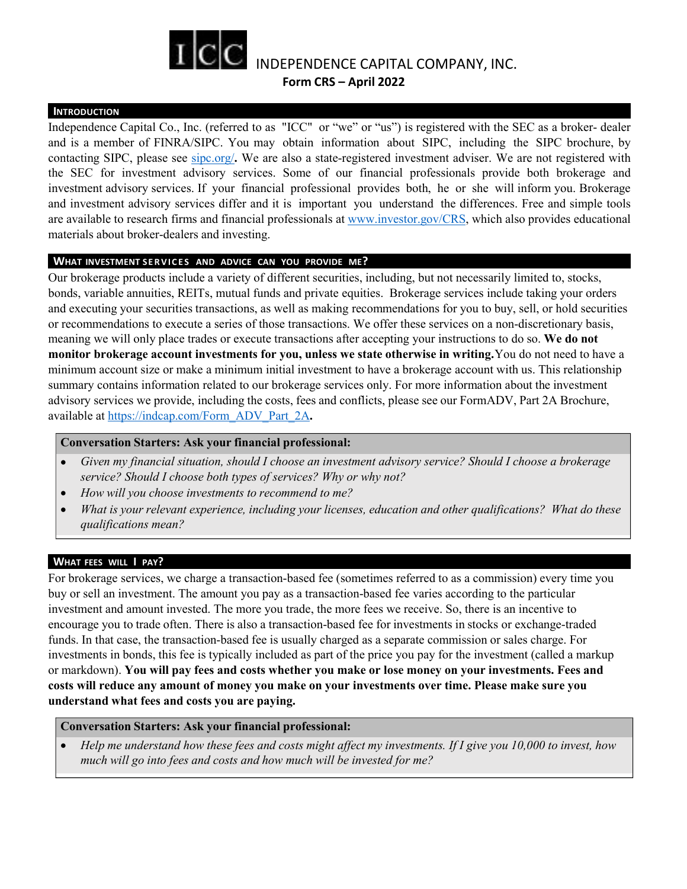

## **INTRODUCTION**

Independence Capital Co., Inc. (referred to as "ICC" or "we" or "us") is registered with the SEC as a broker- dealer and is a member of FINRA/SIPC. You may obtain information about SIPC, including the SIPC brochure, by contacting SIPC, please see sipc.org/**.** We are also a state-registered investment adviser. We are notregistered with the SEC for investment advisory services. Some of our financial professionals provide both brokerage and investment advisory services. If your financial professional provides both, he or she will inform you. Brokerage and investment advisory services differ and it is important you understand the differences. Free and simple tools are available to research firms and financial professionals at [www.investor.gov/CRS](http://www.investor.gov/CRS), which also provides educational materials about broker-dealers and investing. **INTERTCO.** Inc. (referred to as "ICC" or "we" or "us") is registered w and is a member of FINRA/SIPC. You may obtain information about SIPC, inclontacting SIPC, please see sipc.org/. We are also a state-registered invest

Our brokerage products include a variety of different securities, including, but not necessarily limited to, stocks, bonds, variable annuities, REITs, mutual funds and private equities. Brokerage services include taking your orders and executing your securities transactions, as well as making recommendations for you to buy, sell, or hold securities or recommendations to execute a series of those transactions. We offer these services on a non-discretionary basis, meaning we will only place trades or execute transactions after accepting your instructions to do so. We do not **monitor brokerage account investments for you, unless we state otherwise in writing.**You do not need to have a minimum account size or make a minimum initial investment to have a brokerage account with us. This relationship summary contains information related to our brokerage services only. For more information about the investment advisory services we provide, including the costs, fees and conflicts, please see our FormADV, Part 2A Brochure, available at [https://indcap.com/Form\\_ADV\\_Part\\_2A](https://www.indcap.com/sites/default/files/users/DennisTwarogowski/pdf/Form%20ADV%202A.pdf)**.**

## **Conversation Starters: Ask your financial professional:**

- *Given my financial situation, should I choose an investment advisory service? Should I choose a brokerage service? Should I choose both types of services? Why or why not?*
- *How will you choose investments to recommend to me?*
- *What is your relevant experience, including your licenses, education and other qualifications? What do these qualifications mean?*

## **WHAT FEES WILL I PAY?**

For brokerage services, we charge a transaction-based fee (sometimes referred to asa commission) every time you buy or sell an investment. The amount you pay as a transaction-based fee varies according to the particular investment and amount invested. The more you trade, the more fees we receive. So, there is an incentive to encourage you to trade often. There is also a transaction-based fee for investments in stocks orexchange-traded funds. In that case, the transaction-based fee is usually charged as a separate commission or sales charge. For investments in bonds, this fee is typically included as part of the price you pay for the investment (called a markup or markdown). **You will pay fees and costs whether you make or lose money on your investments. Fees and costs will reduce any amount of money you make on your investments over time. Please make sure you understand what fees and costs you are paying.**

## **Conversation Starters: Ask your financial professional:**

Help me understand how these fees and costs might affect my investments. If I give you  $10,000$  to invest, how *much will go into fees and costs and how much will be invested for me?*